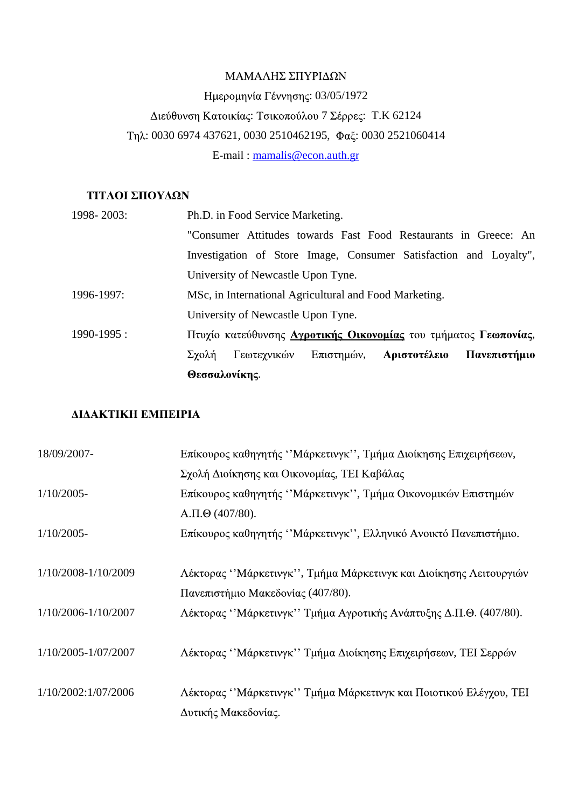#### ΜΑΜΑΛΗΣ ΣΠΥΡΙΔΩΝ

# : 03/05/1972 Διεύθυνση Κατοικίας: Τσικοπούλου 7 Σέρρες: Τ.Κ 62124 Τηλ: 0030 6974 437621, 0030 2510462195, Φαξ: 0030 2521060414 E-mail : mamalis@econ.auth.gr

# ΤΙΤΛΟΙ ΣΠΟΥΔΩΝ

| 1998-2003:      | Ph.D. in Food Service Marketing.                                  |
|-----------------|-------------------------------------------------------------------|
|                 | "Consumer Attitudes towards Fast Food Restaurants in Greece: An   |
|                 | Investigation of Store Image, Consumer Satisfaction and Loyalty", |
|                 | University of Newcastle Upon Tyne.                                |
| 1996-1997:      | MSc, in International Agricultural and Food Marketing.            |
|                 | University of Newcastle Upon Tyne.                                |
| $1990 - 1995$ : | Πτυχίο κατεύθυνσης Αγροτικής Οικονομίας του τμήματος Γεωπονίας,   |
|                 | Γεωτεχνικών Επιστημών,<br>Πανεπιστήμιο<br>Αριστοτέλειο<br>Σχολή   |
|                 | Θεσσαλονίκης.                                                     |

# **ΔΙΔΑΚΤΙΚΗ ΕΜΠΕΙΡΙΑ**

| 18/09/2007-         | Επίκουρος καθηγητής "Μάρκετινγκ", Τμήμα Διοίκησης Επιχειρήσεων,   |
|---------------------|-------------------------------------------------------------------|
|                     | Σχολή Διοίκησης και Οικονομίας, ΤΕΙ Καβάλας                       |
| $1/10/2005$ -       | Επίκουρος καθηγητής "Μάρκετινγκ", Τμήμα Οικονομικών Επιστημών     |
|                     | $A.\Pi.\Theta$ (407/80).                                          |
| $1/10/2005$ -       | Επίκουρος καθηγητής "Μάρκετινγκ", Ελληνικό Ανοικτό Πανεπιστήμιο.  |
|                     |                                                                   |
| 1/10/2008-1/10/2009 | Λέκτορας "Μάρκετινγκ", Τμήμα Μάρκετινγκ και Διοίκησης Λειτουργιών |
|                     | Πανεπιστήμιο Μακεδονίας (407/80).                                 |
| 1/10/2006-1/10/2007 | Λέκτορας "Μάρκετινγκ" Τμήμα Αγροτικής Ανάπτυξης Δ.Π.Θ. (407/80).  |
|                     |                                                                   |
| 1/10/2005-1/07/2007 | Λέκτορας "Μάρκετινγκ" Τμήμα Διοίκησης Επιχειρήσεων, ΤΕΙ Σερρών    |
|                     |                                                                   |
| 1/10/2002:1/07/2006 | Λέκτορας "Μάρκετινγκ" Τμήμα Μάρκετινγκ και Ποιοτικού Ελέγχου, ΤΕΙ |
|                     | Δυτικής Μακεδονίας.                                               |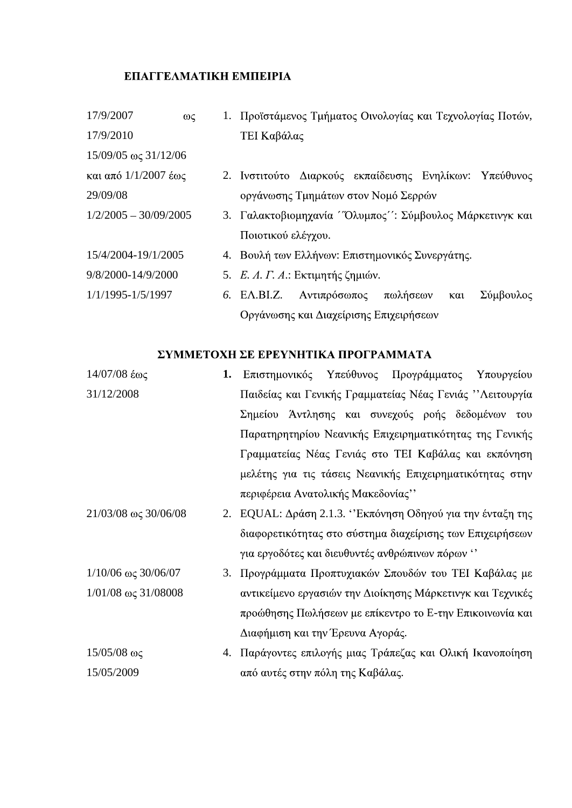# **EΠΑΓΓΕΛΜΑΤΙΚΗ ΕΜΠΕΙΡΙΑ**

| 17/9/2007                        | $\omega$ | Προϊστάμενος Τμήματος Οινολογίας και Τεχνολογίας Ποτών,     |  |
|----------------------------------|----------|-------------------------------------------------------------|--|
| 17/9/2010                        |          | TEI Καβάλας                                                 |  |
| $15/09/05 \omega \zeta 31/12/06$ |          |                                                             |  |
| και από 1/1/2007 έως             |          | 2. Ινστιτούτο Διαρκούς εκπαίδευσης Ενηλίκων: Υπεύθυνος      |  |
| 29/09/08                         |          | οργάνωσης Τμημάτων στον Νομό Σερρών                         |  |
| $1/2/2005 - 30/09/2005$          |          | 3. Γαλακτοβιομηχανία ''Όλυμπος'': Σύμβουλος Μάρκετινγκ και  |  |
|                                  |          | Ποιοτικού ελέγχου.                                          |  |
| 15/4/2004-19/1/2005              |          | 4. Βουλή των Ελλήνων: Επιστημονικός Συνεργάτης.             |  |
| 9/8/2000-14/9/2000               |          | 5. Ε. Λ. Γ. Α.: Εκτιμητής ζημιών.                           |  |
| $1/1/1995 - 1/5/1997$            |          | Σύμβουλος<br>πωλήσεων<br>6. EA.BI.Z.<br>Αντιπρόσωπος<br>και |  |
|                                  |          | Οργάνωσης και Διαχείρισης Επιχειρήσεων                      |  |

# ΣΥΜΜΕΤΟΧΗ ΣΕ ΕΡΕΥΝΗΤΙΚΑ ΠΡΟΓΡΑΜΜΑΤΑ

| $14/07/08$ έως                      | Υπεύθυνος Προγράμματος<br>1. Επιστημονικός<br>Υπουργείου   |
|-------------------------------------|------------------------------------------------------------|
| 31/12/2008                          | Παιδείας και Γενικής Γραμματείας Νέας Γενιάς "Λειτουργία   |
|                                     | Σημείου Άντλησης και συνεχούς ροής δεδομένων του           |
|                                     | Παρατηρητηρίου Νεανικής Επιχειρηματικότητας της Γενικής    |
|                                     | Γραμματείας Νέας Γενιάς στο ΤΕΙ Καβάλας και εκπόνηση       |
|                                     | μελέτης για τις τάσεις Νεανικής Επιχειρηματικότητας στην   |
|                                     | περιφέρεια Ανατολικής Μακεδονίας"                          |
| $21/03/08 \omega \zeta 30/06/08$    | 2. EQUAL: Δράση 2.1.3. "Εκπόνηση Οδηγού για την ένταξη της |
|                                     | διαφορετικότητας στο σύστημα διαχείρισης των Επιχειρήσεων  |
|                                     | για εργοδότες και διευθυντές ανθρώπινων πόρων "            |
| $1/10/06 \omega \zeta 30/06/07$     | 3. Προγράμματα Προπτυχιακών Σπουδών του ΤΕΙ Καβάλας με     |
| $1/01/08$ $\omega$ $\zeta$ 31/08008 | αντικείμενο εργασιών την Διοίκησης Μάρκετινγκ και Τεχνικές |
|                                     | προώθησης Πωλήσεων με επίκεντρο το Ε-την Επικοινωνία και   |
|                                     | Διαφήμιση και την Έρευνα Αγοράς.                           |
| $15/05/08$ ως                       | 4. Παράγοντες επιλογής μιας Τράπεζας και Ολική Ικανοποίηση |
| 15/05/2009                          | από αυτές στην πόλη της Καβάλας.                           |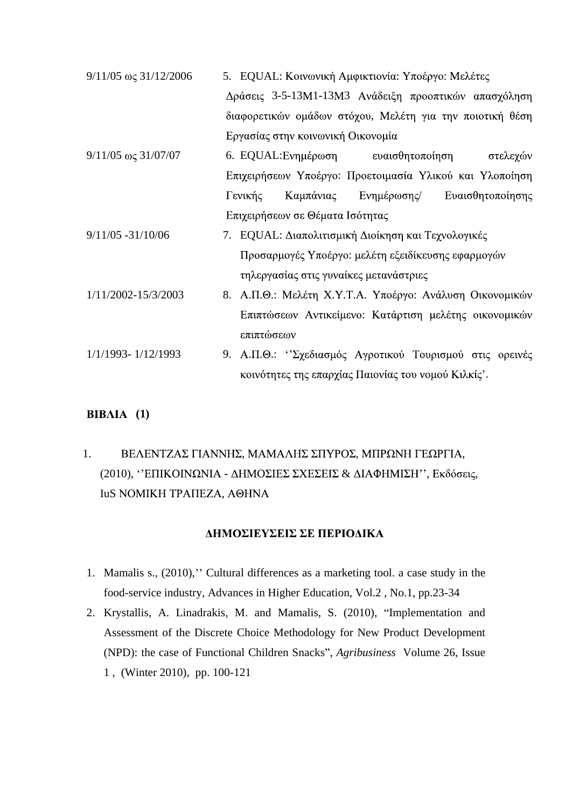| $9/11/05 \omega \zeta$ 31/12/2006 | 5. EQUAL: Κοινωνική Αμφικτιονία: Υποέργο: Μελέτες        |
|-----------------------------------|----------------------------------------------------------|
|                                   | Δράσεις 3-5-13Μ1-13Μ3 Ανάδειξη προοπτικών απασχόληση     |
|                                   | διαφορετικών ομάδων στόχου, Μελέτη για την ποιοτική θέση |
|                                   | Εργασίας στην κοινωνική Οικονομία                        |
| $9/11/05 \omega \zeta 31/07/07$   | ευαισθητοποίηση<br>6. EQUAL: Ενημέρωση<br>στελεχών       |
|                                   | Επιχειρήσεων Υποέργο: Προετοιμασία Υλικού και Υλοποίηση  |
|                                   | Καμπάνιας<br>Ευαισθητοποίησης<br>Γενικής<br>Ενημέρωσης/  |
|                                   | Επιχειρήσεων σε Θέματα Ισότητας                          |
| 9/11/05 -31/10/06                 | 7. ΕQUAL: Διαπολιτισμική Διοίκηση και Τεχνολογικές       |
|                                   | Προσαρμογές Υποέργο: μελέτη εξειδίκευσης εφαρμογών       |
|                                   | τηλεργασίας στις γυναίκες μετανάστριες                   |
| 1/11/2002-15/3/2003               | 8. Α.Π.Θ.: Μελέτη Χ.Υ.Τ.Α. Υποέργο: Ανάλυση Οικονομικών  |
|                                   | Επιπτώσεων Αντικείμενο: Κατάρτιση μελέτης οικονομικών    |
|                                   | επιπτώσεων                                               |
| 1/1/1993-1/12/1993                | 9. Α.Π.Θ.: "Σχεδιασμός Αγροτικού Τουρισμού στις ορεινές  |
|                                   | κοινότητες της επαρχίας Παιονίας του νομού Κιλκίς'.      |
|                                   |                                                          |

# **(1)**

# 1. ΒΕΛΕΝΤΖΑΣ ΓΙΑΝΝΗΣ, ΜΑΜΑΛΗΣ ΣΠΥΡΟΣ, ΜΠΡΩΝΗ ΓΕΩΡΓΙΑ, (2010), "ΕΠΙΚΟΙΝΩΝΙΑ - ΔΗΜΟΣΙΕΣ ΣΧΕΣΕΙΣ & ΔΙΑΦΗΜΙΣΗ", Εκδόσεις, IuS NOMIKH TPAΠEΖΑ, ΑΘΗΝΑ

### ΔΗΜΟΣΙΕΥΣΕΙΣ ΣΕ ΠΕΡΙΟΔΙΚΑ

- 1. Mamalis s., (2010)," Cultural differences as a marketing tool. a case study in the food-service industry, Advances in Higher Education, Vol.2 , No.1, pp.23-34
- 2. Krystallis, A. Linadrakis, M. and Mamalis, S. (2010), "Implementation and Assessment of the Discrete Choice Methodology for New Product Development (NPD): the case of Functional Children Snacks", *Agribusiness* Volume 26, Issue 1 , (Winter 2010), pp. 100-121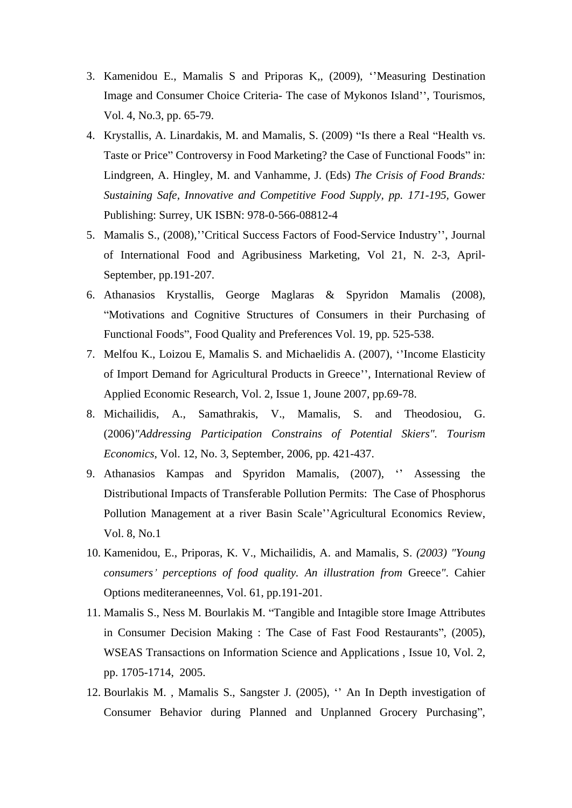- 3. Kamenidou E., Mamalis S and Priporas K,, (2009), "Measuring Destination Image and Consumer Choice Criteria- The case of Mykonos Island", Tourismos, Vol. 4, No.3, pp. 65-79.
- 4. Krystallis, A. Linardakis, M. and Mamalis, S. (2009) "Is there a Real "Health vs. Taste or Price" Controversy in Food Marketing? the Case of Functional Foods" in: Lindgreen, A. Hingley, M. and Vanhamme, J. (Eds) *The Crisis of Food Brands: Sustaining Safe, Innovative and Competitive Food Supply, pp. 171-195,* Gower Publishing: Surrey, UK ISBN: 978-0-566-08812-4
- 5. Mamalis S., (2008), "Critical Success Factors of Food-Service Industry", Journal of International Food and Agribusiness Marketing, Vol 21, N. 2-3, April- September, pp.191-207.
- 6. Athanasios Krystallis, George Maglaras & Spyridon Mamalis (2008), Motivations and Cognitive Structures of Consumers in their Purchasing of Functional Foods", Food Quality and Preferences Vol. 19, pp. 525-538.
- 7. Melfou K., Loizou E, Mamalis S. and Michaelidis A. (2007), "Income Elasticity of Import Demand for Agricultural Products in Greece", International Review of Applied Economic Research, Vol. 2, Issue 1, Joune 2007, pp.69-78.
- 8. Michailidis, A., Samathrakis, V., Mamalis, S. and Theodosiou, G. (2006)*"Addressing Participation Constrains of Potential Skiers". Tourism Economics*, Vol. 12, No. 3, September, 2006, pp. 421-437.
- 9. Athanasios Kampas and Spyridon Mamalis, (2007), "Assessing the Distributional Impacts of Transferable Pollution Permits: The Case of Phosphorus Pollution Management at a river Basin Scale"Agricultural Economics Review, Vol. 8, No.1
- 10. Kamenidou, E., Priporas, K. V., Michailidis, A. and Mamalis, S. *(2003) "Young consumers perceptions of food quality. An illustration from* Greece*"*. Cahier Options mediteraneennes, Vol. 61, pp.191-201.
- 11. Mamalis S., Ness M. Bourlakis M. Tangible and Intagible store Image Attributes in Consumer Decision Making : The Case of Fast Food Restaurants", (2005), WSEAS Transactions on Information Science and Applications , Issue 10, Vol. 2, pp. 1705-1714, 2005.
- 12. Bourlakis M., Mamalis S., Sangster J.  $(2005)$ ,  $\cdot$  An In Depth investigation of Consumer Behavior during Planned and Unplanned Grocery Purchasing",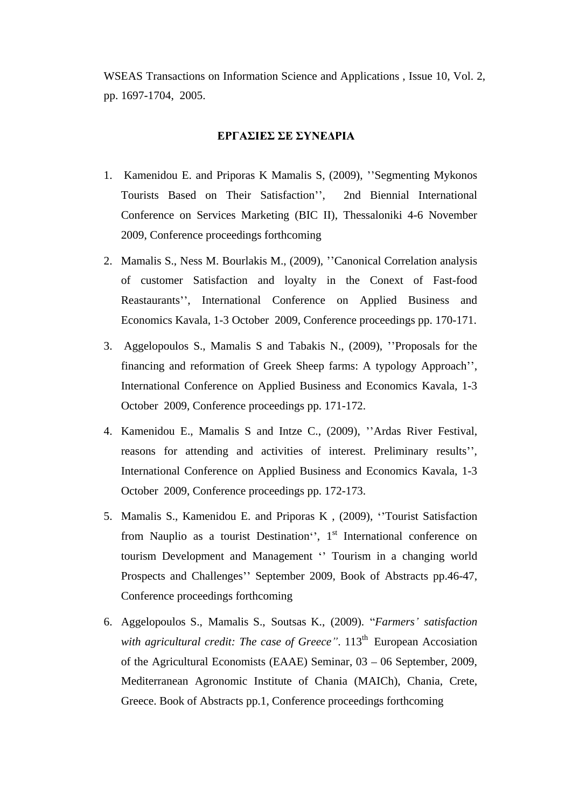WSEAS Transactions on Information Science and Applications , Issue 10, Vol. 2, pp. 1697-1704, 2005.

#### ΕΡΓΑΣΙΕΣ ΣΕ ΣΥΝΕΔΡΙΑ

- 1. Kamenidou E. and Priporas K Mamalis S, (2009), "Segmenting Mykonos Tourists Based on Their Satisfaction", 2nd Biennial International Conference on Services Marketing (BIC II), Thessaloniki 4-6 November 2009, Conference proceedings forthcoming
- 2. Mamalis S., Ness M. Bourlakis M., (2009), "Canonical Correlation analysis of customer Satisfaction and loyalty in the Conext of Fast-food Reastaurants", International Conference on Applied Business and Economics Kavala, 1-3 October 2009, Conference proceedings pp. 170-171.
- 3. Aggelopoulos S., Mamalis S and Tabakis N., (2009), "Proposals for the financing and reformation of Greek Sheep farms: A typology Approach", International Conference on Applied Business and Economics Kavala, 1-3 October 2009, Conference proceedings pp. 171-172.
- 4. Kamenidou E., Mamalis S and Intze C., (2009), "Ardas River Festival, reasons for attending and activities of interest. Preliminary results", International Conference on Applied Business and Economics Kavala, 1-3 October 2009, Conference proceedings pp. 172-173.
- 5. Mamalis S., Kamenidou E. and Priporas K , (2009), Tourist Satisfaction from Nauplio as a tourist Destination", 1<sup>st</sup> International conference on tourism Development and Management "Tourism in a changing world Prospects and Challenges" September 2009, Book of Abstracts pp.46-47, Conference proceedings forthcoming
- 6. Aggelopoulos S., Mamalis S., Soutsas K., (2009). *Farmers satisfaction with agricultural credit: The case of Greece*". 113<sup>th</sup> European Accosiation <sup>th</sup> European Accosiation of the Agricultural Economists (EAAE) Seminar,  $03 - 06$  September, 2009, Mediterranean Agronomic Institute of Chania (MAICh), Chania, Crete, Greece. Book of Abstracts pp.1, Conference proceedings forthcoming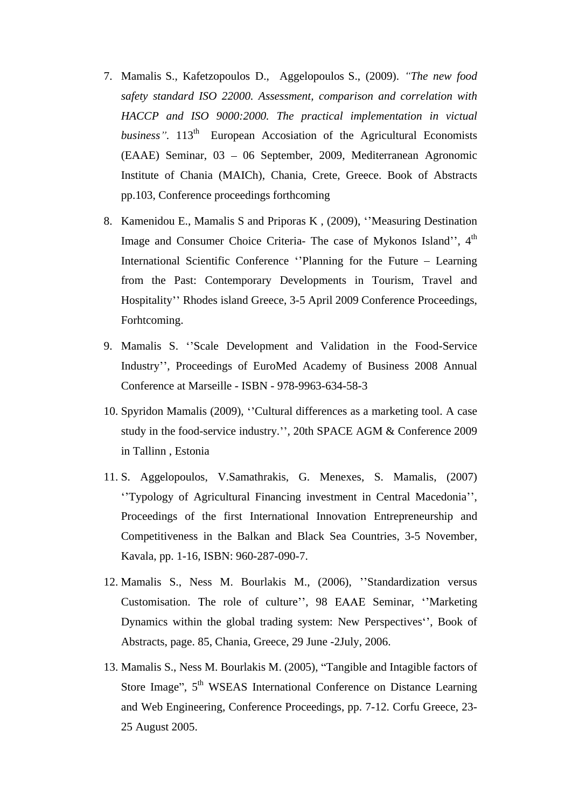- 7. Mamalis S., Kafetzopoulos D., Aggelopoulos S., (2009). *The new food safety standard ISO 22000. Assessment, comparison and correlation with HACCP and ISO 9000:2000. The practical implementation in victual business*". 113<sup>th</sup> European Accosiation of the Agricultural Economists  $(EAAE)$  Seminar, 03 – 06 September, 2009, Mediterranean Agronomic Institute of Chania (MAICh), Chania, Crete, Greece. Book of Abstracts pp.103, Conference proceedings forthcoming
- 8. Kamenidou E., Mamalis S and Priporas K, (2009), "Measuring Destination Image and Consumer Choice Criteria- The case of Mykonos Island", 4<sup>th</sup> the contract of the contract of the contract of the contract of the contract of the contract of the contract of the contract of the contract of the contract of the contract of the contract of the contract of the contract o International Scientific Conference "Planning for the Future – Learning from the Past: Contemporary Developments in Tourism, Travel and Hospitality" Rhodes island Greece, 3-5 April 2009 Conference Proceedings, Forhtcoming.
- 9. Mamalis S. "Scale Development and Validation in the Food-Service Industry", Proceedings of EuroMed Academy of Business 2008 Annual Conference at Marseille - ISBN - 978-9963-634-58-3
- 10. Spyridon Mamalis (2009), "Cultural differences as a marketing tool. A case study in the food-service industry.", 20th SPACE AGM & Conference 2009 in Tallinn , Estonia
- 11. S. Aggelopoulos, V.Samathrakis, G. Menexes, S. Mamalis, (2007) "Typology of Agricultural Financing investment in Central Macedonia", Proceedings of the first International Innovation Entrepreneurship and Competitiveness in the Balkan and Black Sea Countries, 3-5 November, Kavala, pp. 1-16, ISBN: 960-287-090-7.
- 12. Mamalis S., Ness M. Bourlakis M., (2006), "Standardization versus Customisation. The role of culture", 98 EAAE Seminar, "Marketing Dynamics within the global trading system: New Perspectives<sup>\*</sup>, Book of Abstracts, page. 85, Chania, Greece, 29 June -2July, 2006.
- 13. Mamalis S., Ness M. Bourlakis M. (2005), Tangible and Intagible factors of Store Image", 5<sup>th</sup> WSEAS International Conference on Distance Learning and Web Engineering, Conference Proceedings, pp. 7-12. Corfu Greece, 23- 25 August 2005.